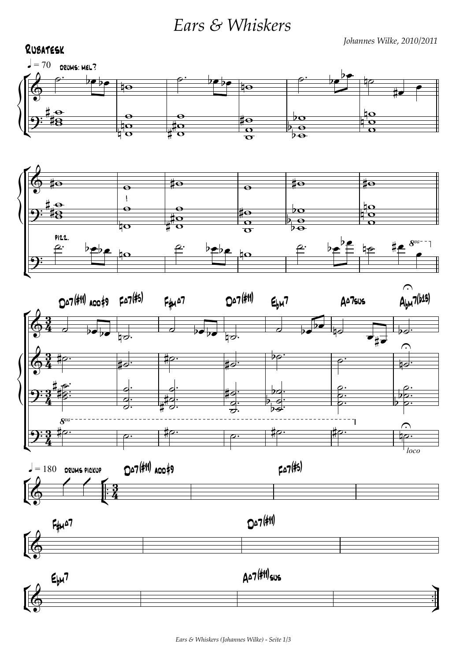*Ears & Whiskers*

*Johannes Wilke, 2010/2011*

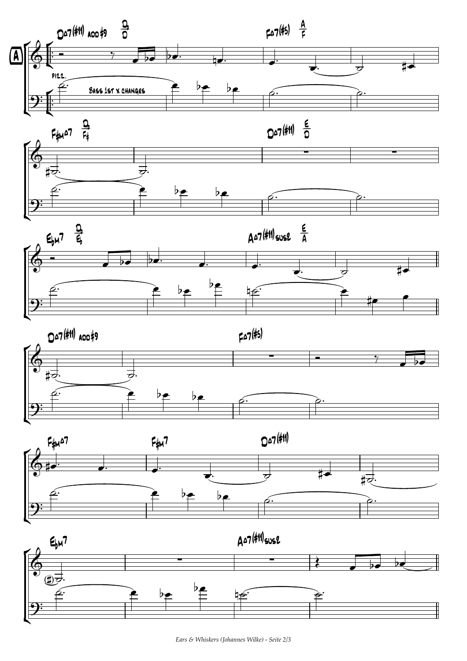